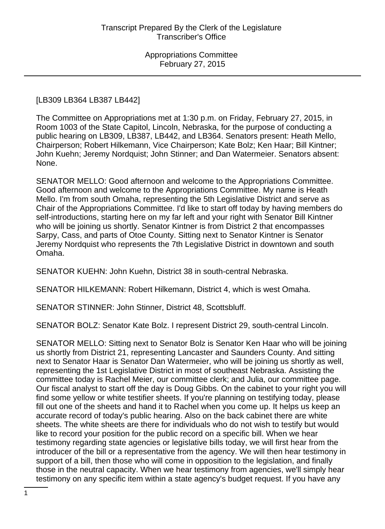## [LB309 LB364 LB387 LB442]

The Committee on Appropriations met at 1:30 p.m. on Friday, February 27, 2015, in Room 1003 of the State Capitol, Lincoln, Nebraska, for the purpose of conducting a public hearing on LB309, LB387, LB442, and LB364. Senators present: Heath Mello, Chairperson; Robert Hilkemann, Vice Chairperson; Kate Bolz; Ken Haar; Bill Kintner; John Kuehn; Jeremy Nordquist; John Stinner; and Dan Watermeier. Senators absent: None.

SENATOR MELLO: Good afternoon and welcome to the Appropriations Committee. Good afternoon and welcome to the Appropriations Committee. My name is Heath Mello. I'm from south Omaha, representing the 5th Legislative District and serve as Chair of the Appropriations Committee. I'd like to start off today by having members do self-introductions, starting here on my far left and your right with Senator Bill Kintner who will be joining us shortly. Senator Kintner is from District 2 that encompasses Sarpy, Cass, and parts of Otoe County. Sitting next to Senator Kintner is Senator Jeremy Nordquist who represents the 7th Legislative District in downtown and south Omaha.

SENATOR KUEHN: John Kuehn, District 38 in south-central Nebraska.

SENATOR HILKEMANN: Robert Hilkemann, District 4, which is west Omaha.

SENATOR STINNER: John Stinner, District 48, Scottsbluff.

SENATOR BOLZ: Senator Kate Bolz. I represent District 29, south-central Lincoln.

SENATOR MELLO: Sitting next to Senator Bolz is Senator Ken Haar who will be joining us shortly from District 21, representing Lancaster and Saunders County. And sitting next to Senator Haar is Senator Dan Watermeier, who will be joining us shortly as well, representing the 1st Legislative District in most of southeast Nebraska. Assisting the committee today is Rachel Meier, our committee clerk; and Julia, our committee page. Our fiscal analyst to start off the day is Doug Gibbs. On the cabinet to your right you will find some yellow or white testifier sheets. If you're planning on testifying today, please fill out one of the sheets and hand it to Rachel when you come up. It helps us keep an accurate record of today's public hearing. Also on the back cabinet there are white sheets. The white sheets are there for individuals who do not wish to testify but would like to record your position for the public record on a specific bill. When we hear testimony regarding state agencies or legislative bills today, we will first hear from the introducer of the bill or a representative from the agency. We will then hear testimony in support of a bill, then those who will come in opposition to the legislation, and finally those in the neutral capacity. When we hear testimony from agencies, we'll simply hear testimony on any specific item within a state agency's budget request. If you have any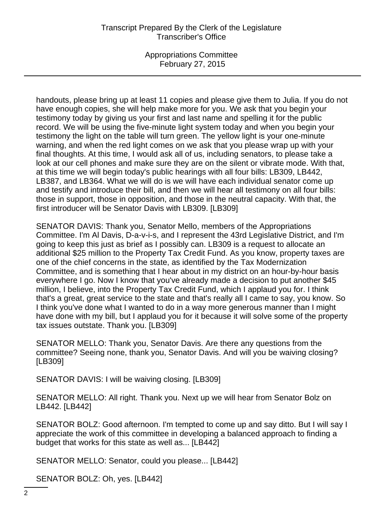## Transcript Prepared By the Clerk of the Legislature Transcriber's Office

Appropriations Committee February 27, 2015

handouts, please bring up at least 11 copies and please give them to Julia. If you do not have enough copies, she will help make more for you. We ask that you begin your testimony today by giving us your first and last name and spelling it for the public record. We will be using the five-minute light system today and when you begin your testimony the light on the table will turn green. The yellow light is your one-minute warning, and when the red light comes on we ask that you please wrap up with your final thoughts. At this time, I would ask all of us, including senators, to please take a look at our cell phones and make sure they are on the silent or vibrate mode. With that, at this time we will begin today's public hearings with all four bills: LB309, LB442, LB387, and LB364. What we will do is we will have each individual senator come up and testify and introduce their bill, and then we will hear all testimony on all four bills: those in support, those in opposition, and those in the neutral capacity. With that, the first introducer will be Senator Davis with LB309. [LB309]

SENATOR DAVIS: Thank you, Senator Mello, members of the Appropriations Committee. I'm Al Davis, D-a-v-i-s, and I represent the 43rd Legislative District, and I'm going to keep this just as brief as I possibly can. LB309 is a request to allocate an additional \$25 million to the Property Tax Credit Fund. As you know, property taxes are one of the chief concerns in the state, as identified by the Tax Modernization Committee, and is something that I hear about in my district on an hour-by-hour basis everywhere I go. Now I know that you've already made a decision to put another \$45 million, I believe, into the Property Tax Credit Fund, which I applaud you for. I think that's a great, great service to the state and that's really all I came to say, you know. So I think you've done what I wanted to do in a way more generous manner than I might have done with my bill, but I applaud you for it because it will solve some of the property tax issues outstate. Thank you. [LB309]

SENATOR MELLO: Thank you, Senator Davis. Are there any questions from the committee? Seeing none, thank you, Senator Davis. And will you be waiving closing? [LB309]

SENATOR DAVIS: I will be waiving closing. [LB309]

SENATOR MELLO: All right. Thank you. Next up we will hear from Senator Bolz on LB442. [LB442]

SENATOR BOLZ: Good afternoon. I'm tempted to come up and say ditto. But I will say I appreciate the work of this committee in developing a balanced approach to finding a budget that works for this state as well as... [LB442]

SENATOR MELLO: Senator, could you please... [LB442]

SENATOR BOLZ: Oh, yes. [LB442]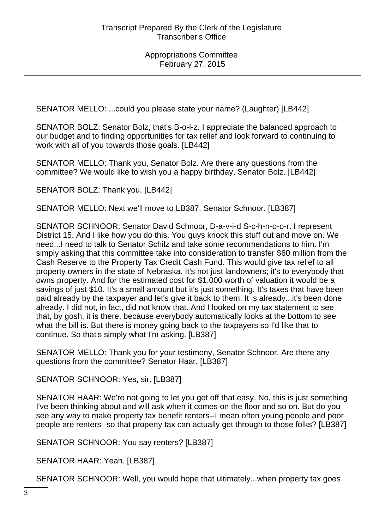SENATOR MELLO: ...could you please state your name? (Laughter) [LB442]

SENATOR BOLZ: Senator Bolz, that's B-o-l-z. I appreciate the balanced approach to our budget and to finding opportunities for tax relief and look forward to continuing to work with all of you towards those goals. [LB442]

SENATOR MELLO: Thank you, Senator Bolz. Are there any questions from the committee? We would like to wish you a happy birthday, Senator Bolz. [LB442]

SENATOR BOLZ: Thank you. [LB442]

SENATOR MELLO: Next we'll move to LB387. Senator Schnoor. [LB387]

SENATOR SCHNOOR: Senator David Schnoor, D-a-v-i-d S-c-h-n-o-o-r. I represent District 15. And I like how you do this. You guys knock this stuff out and move on. We need...I need to talk to Senator Schilz and take some recommendations to him. I'm simply asking that this committee take into consideration to transfer \$60 million from the Cash Reserve to the Property Tax Credit Cash Fund. This would give tax relief to all property owners in the state of Nebraska. It's not just landowners; it's to everybody that owns property. And for the estimated cost for \$1,000 worth of valuation it would be a savings of just \$10. It's a small amount but it's just something. It's taxes that have been paid already by the taxpayer and let's give it back to them. It is already...it's been done already. I did not, in fact, did not know that. And I looked on my tax statement to see that, by gosh, it is there, because everybody automatically looks at the bottom to see what the bill is. But there is money going back to the taxpayers so I'd like that to continue. So that's simply what I'm asking. [LB387]

SENATOR MELLO: Thank you for your testimony, Senator Schnoor. Are there any questions from the committee? Senator Haar. [LB387]

SENATOR SCHNOOR: Yes, sir. [LB387]

SENATOR HAAR: We're not going to let you get off that easy. No, this is just something I've been thinking about and will ask when it comes on the floor and so on. But do you see any way to make property tax benefit renters--I mean often young people and poor people are renters--so that property tax can actually get through to those folks? [LB387]

SENATOR SCHNOOR: You say renters? [LB387]

SENATOR HAAR: Yeah. [LB387]

SENATOR SCHNOOR: Well, you would hope that ultimately...when property tax goes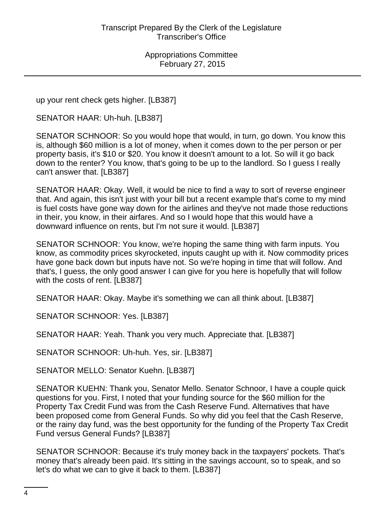up your rent check gets higher. [LB387]

SENATOR HAAR: Uh-huh. [LB387]

SENATOR SCHNOOR: So you would hope that would, in turn, go down. You know this is, although \$60 million is a lot of money, when it comes down to the per person or per property basis, it's \$10 or \$20. You know it doesn't amount to a lot. So will it go back down to the renter? You know, that's going to be up to the landlord. So I guess I really can't answer that. [LB387]

SENATOR HAAR: Okay. Well, it would be nice to find a way to sort of reverse engineer that. And again, this isn't just with your bill but a recent example that's come to my mind is fuel costs have gone way down for the airlines and they've not made those reductions in their, you know, in their airfares. And so I would hope that this would have a downward influence on rents, but I'm not sure it would. [LB387]

SENATOR SCHNOOR: You know, we're hoping the same thing with farm inputs. You know, as commodity prices skyrocketed, inputs caught up with it. Now commodity prices have gone back down but inputs have not. So we're hoping in time that will follow. And that's, I guess, the only good answer I can give for you here is hopefully that will follow with the costs of rent. [LB387]

SENATOR HAAR: Okay. Maybe it's something we can all think about. [LB387]

SENATOR SCHNOOR: Yes. [LB387]

SENATOR HAAR: Yeah. Thank you very much. Appreciate that. [LB387]

SENATOR SCHNOOR: Uh-huh. Yes, sir. [LB387]

SENATOR MELLO: Senator Kuehn. [LB387]

SENATOR KUEHN: Thank you, Senator Mello. Senator Schnoor, I have a couple quick questions for you. First, I noted that your funding source for the \$60 million for the Property Tax Credit Fund was from the Cash Reserve Fund. Alternatives that have been proposed come from General Funds. So why did you feel that the Cash Reserve, or the rainy day fund, was the best opportunity for the funding of the Property Tax Credit Fund versus General Funds? [LB387]

SENATOR SCHNOOR: Because it's truly money back in the taxpayers' pockets. That's money that's already been paid. It's sitting in the savings account, so to speak, and so let's do what we can to give it back to them. [LB387]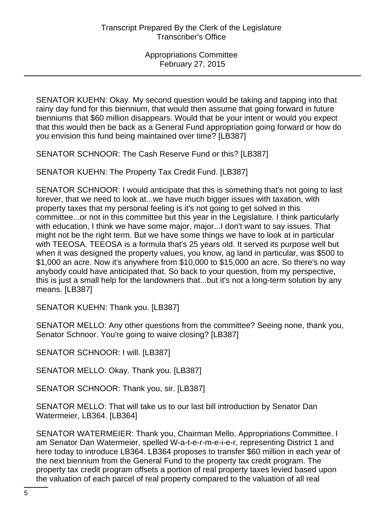SENATOR KUEHN: Okay. My second question would be taking and tapping into that rainy day fund for this biennium, that would then assume that going forward in future bienniums that \$60 million disappears. Would that be your intent or would you expect that this would then be back as a General Fund appropriation going forward or how do you envision this fund being maintained over time? [LB387]

SENATOR SCHNOOR: The Cash Reserve Fund or this? [LB387]

SENATOR KUEHN: The Property Tax Credit Fund. [LB387]

SENATOR SCHNOOR: I would anticipate that this is something that's not going to last forever, that we need to look at...we have much bigger issues with taxation, with property taxes that my personal feeling is it's not going to get solved in this committee...or not in this committee but this year in the Legislature. I think particularly with education, I think we have some major, major...I don't want to say issues. That might not be the right term. But we have some things we have to look at in particular with TEEOSA. TEEOSA is a formula that's 25 years old. It served its purpose well but when it was designed the property values, you know, ag land in particular, was \$500 to \$1,000 an acre. Now it's anywhere from \$10,000 to \$15,000 an acre. So there's no way anybody could have anticipated that. So back to your question, from my perspective, this is just a small help for the landowners that...but it's not a long-term solution by any means. [LB387]

SENATOR KUEHN: Thank you. [LB387]

SENATOR MELLO: Any other questions from the committee? Seeing none, thank you, Senator Schnoor. You're going to waive closing? [LB387]

SENATOR SCHNOOR: I will. [LB387]

SENATOR MELLO: Okay. Thank you. [LB387]

SENATOR SCHNOOR: Thank you, sir. [LB387]

SENATOR MELLO: That will take us to our last bill introduction by Senator Dan Watermeier, LB364. [LB364]

SENATOR WATERMEIER: Thank you, Chairman Mello, Appropriations Committee. I am Senator Dan Watermeier, spelled W-a-t-e-r-m-e-i-e-r, representing District 1 and here today to introduce LB364. LB364 proposes to transfer \$60 million in each year of the next biennium from the General Fund to the property tax credit program. The property tax credit program offsets a portion of real property taxes levied based upon the valuation of each parcel of real property compared to the valuation of all real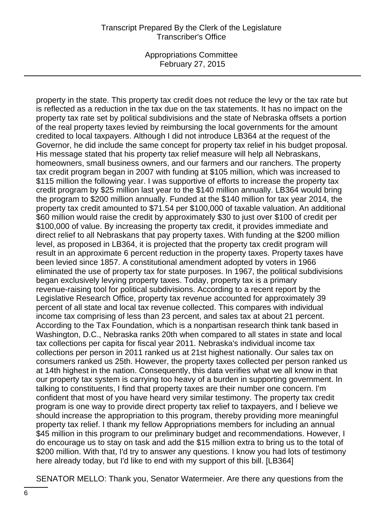## Transcript Prepared By the Clerk of the Legislature Transcriber's Office

Appropriations Committee February 27, 2015

property in the state. This property tax credit does not reduce the levy or the tax rate but is reflected as a reduction in the tax due on the tax statements. It has no impact on the property tax rate set by political subdivisions and the state of Nebraska offsets a portion of the real property taxes levied by reimbursing the local governments for the amount credited to local taxpayers. Although I did not introduce LB364 at the request of the Governor, he did include the same concept for property tax relief in his budget proposal. His message stated that his property tax relief measure will help all Nebraskans, homeowners, small business owners, and our farmers and our ranchers. The property tax credit program began in 2007 with funding at \$105 million, which was increased to \$115 million the following year. I was supportive of efforts to increase the property tax credit program by \$25 million last year to the \$140 million annually. LB364 would bring the program to \$200 million annually. Funded at the \$140 million for tax year 2014, the property tax credit amounted to \$71.54 per \$100,000 of taxable valuation. An additional \$60 million would raise the credit by approximately \$30 to just over \$100 of credit per \$100,000 of value. By increasing the property tax credit, it provides immediate and direct relief to all Nebraskans that pay property taxes. With funding at the \$200 million level, as proposed in LB364, it is projected that the property tax credit program will result in an approximate 6 percent reduction in the property taxes. Property taxes have been levied since 1857. A constitutional amendment adopted by voters in 1966 eliminated the use of property tax for state purposes. In 1967, the political subdivisions began exclusively levying property taxes. Today, property tax is a primary revenue-raising tool for political subdivisions. According to a recent report by the Legislative Research Office, property tax revenue accounted for approximately 39 percent of all state and local tax revenue collected. This compares with individual income tax comprising of less than 23 percent, and sales tax at about 21 percent. According to the Tax Foundation, which is a nonpartisan research think tank based in Washington, D.C., Nebraska ranks 20th when compared to all states in state and local tax collections per capita for fiscal year 2011. Nebraska's individual income tax collections per person in 2011 ranked us at 21st highest nationally. Our sales tax on consumers ranked us 25th. However, the property taxes collected per person ranked us at 14th highest in the nation. Consequently, this data verifies what we all know in that our property tax system is carrying too heavy of a burden in supporting government. In talking to constituents, I find that property taxes are their number one concern. I'm confident that most of you have heard very similar testimony. The property tax credit program is one way to provide direct property tax relief to taxpayers, and I believe we should increase the appropriation to this program, thereby providing more meaningful property tax relief. I thank my fellow Appropriations members for including an annual \$45 million in this program to our preliminary budget and recommendations. However, I do encourage us to stay on task and add the \$15 million extra to bring us to the total of \$200 million. With that, I'd try to answer any questions. I know you had lots of testimony here already today, but I'd like to end with my support of this bill. [LB364]

SENATOR MELLO: Thank you, Senator Watermeier. Are there any questions from the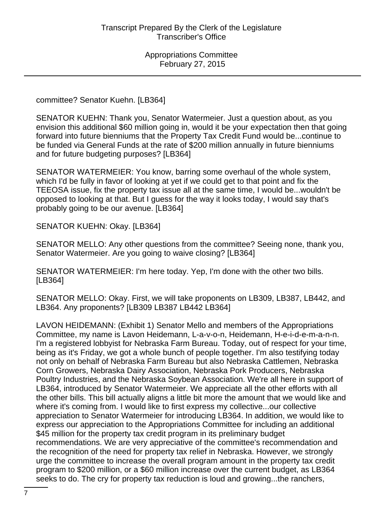committee? Senator Kuehn. [LB364]

SENATOR KUEHN: Thank you, Senator Watermeier. Just a question about, as you envision this additional \$60 million going in, would it be your expectation then that going forward into future bienniums that the Property Tax Credit Fund would be...continue to be funded via General Funds at the rate of \$200 million annually in future bienniums and for future budgeting purposes? [LB364]

SENATOR WATERMEIER: You know, barring some overhaul of the whole system, which I'd be fully in favor of looking at yet if we could get to that point and fix the TEEOSA issue, fix the property tax issue all at the same time, I would be...wouldn't be opposed to looking at that. But I guess for the way it looks today, I would say that's probably going to be our avenue. [LB364]

SENATOR KUEHN: Okay. [LB364]

SENATOR MELLO: Any other questions from the committee? Seeing none, thank you, Senator Watermeier. Are you going to waive closing? [LB364]

SENATOR WATERMEIER: I'm here today. Yep, I'm done with the other two bills. [LB364]

SENATOR MELLO: Okay. First, we will take proponents on LB309, LB387, LB442, and LB364. Any proponents? [LB309 LB387 LB442 LB364]

LAVON HEIDEMANN: (Exhibit 1) Senator Mello and members of the Appropriations Committee, my name is Lavon Heidemann, L-a-v-o-n, Heidemann, H-e-i-d-e-m-a-n-n. I'm a registered lobbyist for Nebraska Farm Bureau. Today, out of respect for your time, being as it's Friday, we got a whole bunch of people together. I'm also testifying today not only on behalf of Nebraska Farm Bureau but also Nebraska Cattlemen, Nebraska Corn Growers, Nebraska Dairy Association, Nebraska Pork Producers, Nebraska Poultry Industries, and the Nebraska Soybean Association. We're all here in support of LB364, introduced by Senator Watermeier. We appreciate all the other efforts with all the other bills. This bill actually aligns a little bit more the amount that we would like and where it's coming from. I would like to first express my collective...our collective appreciation to Senator Watermeier for introducing LB364. In addition, we would like to express our appreciation to the Appropriations Committee for including an additional \$45 million for the property tax credit program in its preliminary budget recommendations. We are very appreciative of the committee's recommendation and the recognition of the need for property tax relief in Nebraska. However, we strongly urge the committee to increase the overall program amount in the property tax credit program to \$200 million, or a \$60 million increase over the current budget, as LB364 seeks to do. The cry for property tax reduction is loud and growing...the ranchers,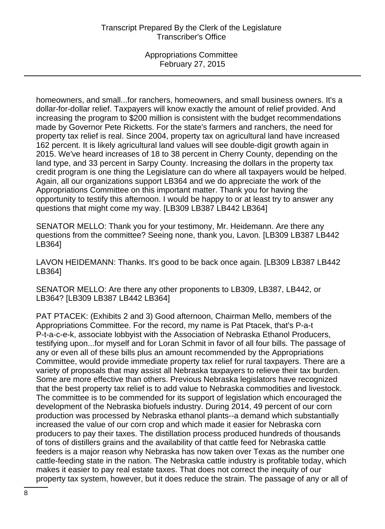homeowners, and small...for ranchers, homeowners, and small business owners. It's a dollar-for-dollar relief. Taxpayers will know exactly the amount of relief provided. And increasing the program to \$200 million is consistent with the budget recommendations made by Governor Pete Ricketts. For the state's farmers and ranchers, the need for property tax relief is real. Since 2004, property tax on agricultural land have increased 162 percent. It is likely agricultural land values will see double-digit growth again in 2015. We've heard increases of 18 to 38 percent in Cherry County, depending on the land type, and 33 percent in Sarpy County. Increasing the dollars in the property tax credit program is one thing the Legislature can do where all taxpayers would be helped. Again, all our organizations support LB364 and we do appreciate the work of the Appropriations Committee on this important matter. Thank you for having the opportunity to testify this afternoon. I would be happy to or at least try to answer any questions that might come my way. [LB309 LB387 LB442 LB364]

SENATOR MELLO: Thank you for your testimony, Mr. Heidemann. Are there any questions from the committee? Seeing none, thank you, Lavon. [LB309 LB387 LB442 LB364]

LAVON HEIDEMANN: Thanks. It's good to be back once again. [LB309 LB387 LB442 LB364]

SENATOR MELLO: Are there any other proponents to LB309, LB387, LB442, or LB364? [LB309 LB387 LB442 LB364]

PAT PTACEK: (Exhibits 2 and 3) Good afternoon, Chairman Mello, members of the Appropriations Committee. For the record, my name is Pat Ptacek, that's P-a-t P-t-a-c-e-k, associate lobbyist with the Association of Nebraska Ethanol Producers, testifying upon...for myself and for Loran Schmit in favor of all four bills. The passage of any or even all of these bills plus an amount recommended by the Appropriations Committee, would provide immediate property tax relief for rural taxpayers. There are a variety of proposals that may assist all Nebraska taxpayers to relieve their tax burden. Some are more effective than others. Previous Nebraska legislators have recognized that the best property tax relief is to add value to Nebraska commodities and livestock. The committee is to be commended for its support of legislation which encouraged the development of the Nebraska biofuels industry. During 2014, 49 percent of our corn production was processed by Nebraska ethanol plants--a demand which substantially increased the value of our corn crop and which made it easier for Nebraska corn producers to pay their taxes. The distillation process produced hundreds of thousands of tons of distillers grains and the availability of that cattle feed for Nebraska cattle feeders is a major reason why Nebraska has now taken over Texas as the number one cattle-feeding state in the nation. The Nebraska cattle industry is profitable today, which makes it easier to pay real estate taxes. That does not correct the inequity of our property tax system, however, but it does reduce the strain. The passage of any or all of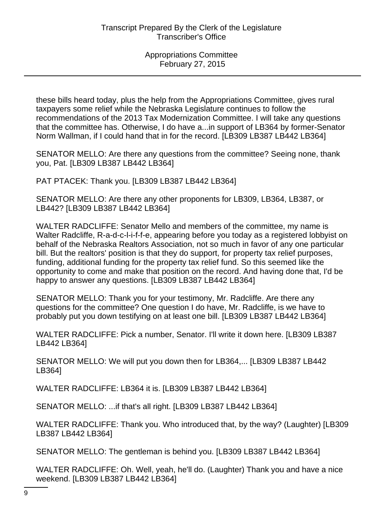these bills heard today, plus the help from the Appropriations Committee, gives rural taxpayers some relief while the Nebraska Legislature continues to follow the recommendations of the 2013 Tax Modernization Committee. I will take any questions that the committee has. Otherwise, I do have a...in support of LB364 by former-Senator Norm Wallman, if I could hand that in for the record. [LB309 LB387 LB442 LB364]

SENATOR MELLO: Are there any questions from the committee? Seeing none, thank you, Pat. [LB309 LB387 LB442 LB364]

PAT PTACEK: Thank you. [LB309 LB387 LB442 LB364]

SENATOR MELLO: Are there any other proponents for LB309, LB364, LB387, or LB442? [LB309 LB387 LB442 LB364]

WALTER RADCLIFFE: Senator Mello and members of the committee, my name is Walter Radcliffe, R-a-d-c-l-i-f-f-e, appearing before you today as a registered lobbyist on behalf of the Nebraska Realtors Association, not so much in favor of any one particular bill. But the realtors' position is that they do support, for property tax relief purposes, funding, additional funding for the property tax relief fund. So this seemed like the opportunity to come and make that position on the record. And having done that, I'd be happy to answer any questions. [LB309 LB387 LB442 LB364]

SENATOR MELLO: Thank you for your testimony, Mr. Radcliffe. Are there any questions for the committee? One question I do have, Mr. Radcliffe, is we have to probably put you down testifying on at least one bill. [LB309 LB387 LB442 LB364]

WALTER RADCLIFFE: Pick a number, Senator. I'll write it down here. [LB309 LB387 LB442 LB364]

SENATOR MELLO: We will put you down then for LB364,... [LB309 LB387 LB442 LB364]

WALTER RADCLIFFE: LB364 it is. [LB309 LB387 LB442 LB364]

SENATOR MELLO: ...if that's all right. [LB309 LB387 LB442 LB364]

WALTER RADCLIFFE: Thank you. Who introduced that, by the way? (Laughter) [LB309 LB387 LB442 LB364]

SENATOR MELLO: The gentleman is behind you. [LB309 LB387 LB442 LB364]

WALTER RADCLIFFE: Oh. Well, yeah, he'll do. (Laughter) Thank you and have a nice weekend. [LB309 LB387 LB442 LB364]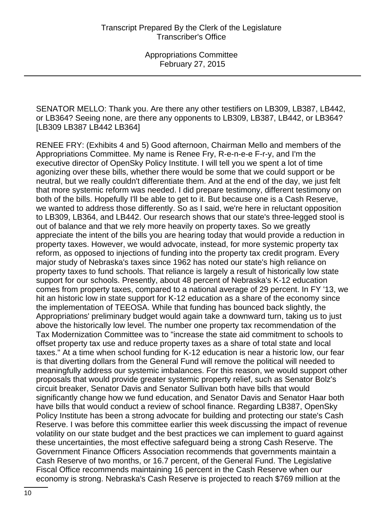SENATOR MELLO: Thank you. Are there any other testifiers on LB309, LB387, LB442, or LB364? Seeing none, are there any opponents to LB309, LB387, LB442, or LB364? [LB309 LB387 LB442 LB364]

RENEE FRY: (Exhibits 4 and 5) Good afternoon, Chairman Mello and members of the Appropriations Committee. My name is Renee Fry, R-e-n-e-e F-r-y, and I'm the executive director of OpenSky Policy Institute. I will tell you we spent a lot of time agonizing over these bills, whether there would be some that we could support or be neutral, but we really couldn't differentiate them. And at the end of the day, we just felt that more systemic reform was needed. I did prepare testimony, different testimony on both of the bills. Hopefully I'll be able to get to it. But because one is a Cash Reserve, we wanted to address those differently. So as I said, we're here in reluctant opposition to LB309, LB364, and LB442. Our research shows that our state's three-legged stool is out of balance and that we rely more heavily on property taxes. So we greatly appreciate the intent of the bills you are hearing today that would provide a reduction in property taxes. However, we would advocate, instead, for more systemic property tax reform, as opposed to injections of funding into the property tax credit program. Every major study of Nebraska's taxes since 1962 has noted our state's high reliance on property taxes to fund schools. That reliance is largely a result of historically low state support for our schools. Presently, about 48 percent of Nebraska's K-12 education comes from property taxes, compared to a national average of 29 percent. In FY '13, we hit an historic low in state support for K-12 education as a share of the economy since the implementation of TEEOSA. While that funding has bounced back slightly, the Appropriations' preliminary budget would again take a downward turn, taking us to just above the historically low level. The number one property tax recommendation of the Tax Modernization Committee was to "increase the state aid commitment to schools to offset property tax use and reduce property taxes as a share of total state and local taxes." At a time when school funding for K-12 education is near a historic low, our fear is that diverting dollars from the General Fund will remove the political will needed to meaningfully address our systemic imbalances. For this reason, we would support other proposals that would provide greater systemic property relief, such as Senator Bolz's circuit breaker, Senator Davis and Senator Sullivan both have bills that would significantly change how we fund education, and Senator Davis and Senator Haar both have bills that would conduct a review of school finance. Regarding LB387, OpenSky Policy Institute has been a strong advocate for building and protecting our state's Cash Reserve. I was before this committee earlier this week discussing the impact of revenue volatility on our state budget and the best practices we can implement to guard against these uncertainties, the most effective safeguard being a strong Cash Reserve. The Government Finance Officers Association recommends that governments maintain a Cash Reserve of two months, or 16.7 percent, of the General Fund. The Legislative Fiscal Office recommends maintaining 16 percent in the Cash Reserve when our economy is strong. Nebraska's Cash Reserve is projected to reach \$769 million at the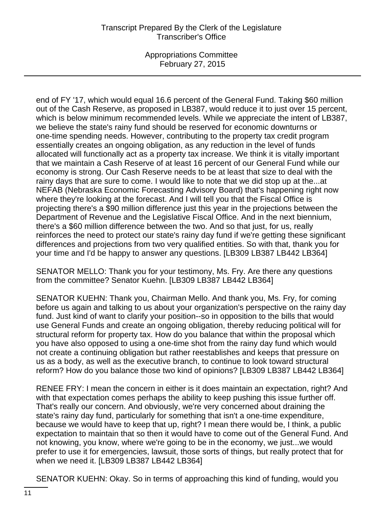## Transcript Prepared By the Clerk of the Legislature Transcriber's Office

Appropriations Committee February 27, 2015

end of FY '17, which would equal 16.6 percent of the General Fund. Taking \$60 million out of the Cash Reserve, as proposed in LB387, would reduce it to just over 15 percent, which is below minimum recommended levels. While we appreciate the intent of LB387, we believe the state's rainy fund should be reserved for economic downturns or one-time spending needs. However, contributing to the property tax credit program essentially creates an ongoing obligation, as any reduction in the level of funds allocated will functionally act as a property tax increase. We think it is vitally important that we maintain a Cash Reserve of at least 16 percent of our General Fund while our economy is strong. Our Cash Reserve needs to be at least that size to deal with the rainy days that are sure to come. I would like to note that we did stop up at the...at NEFAB (Nebraska Economic Forecasting Advisory Board) that's happening right now where they're looking at the forecast. And I will tell you that the Fiscal Office is projecting there's a \$90 million difference just this year in the projections between the Department of Revenue and the Legislative Fiscal Office. And in the next biennium, there's a \$60 million difference between the two. And so that just, for us, really reinforces the need to protect our state's rainy day fund if we're getting these significant differences and projections from two very qualified entities. So with that, thank you for your time and I'd be happy to answer any questions. [LB309 LB387 LB442 LB364]

SENATOR MELLO: Thank you for your testimony, Ms. Fry. Are there any questions from the committee? Senator Kuehn. [LB309 LB387 LB442 LB364]

SENATOR KUEHN: Thank you, Chairman Mello. And thank you, Ms. Fry, for coming before us again and talking to us about your organization's perspective on the rainy day fund. Just kind of want to clarify your position--so in opposition to the bills that would use General Funds and create an ongoing obligation, thereby reducing political will for structural reform for property tax. How do you balance that within the proposal which you have also opposed to using a one-time shot from the rainy day fund which would not create a continuing obligation but rather reestablishes and keeps that pressure on us as a body, as well as the executive branch, to continue to look toward structural reform? How do you balance those two kind of opinions? [LB309 LB387 LB442 LB364]

RENEE FRY: I mean the concern in either is it does maintain an expectation, right? And with that expectation comes perhaps the ability to keep pushing this issue further off. That's really our concern. And obviously, we're very concerned about draining the state's rainy day fund, particularly for something that isn't a one-time expenditure, because we would have to keep that up, right? I mean there would be, I think, a public expectation to maintain that so then it would have to come out of the General Fund. And not knowing, you know, where we're going to be in the economy, we just...we would prefer to use it for emergencies, lawsuit, those sorts of things, but really protect that for when we need it. [LB309 LB387 LB442 LB364]

SENATOR KUEHN: Okay. So in terms of approaching this kind of funding, would you